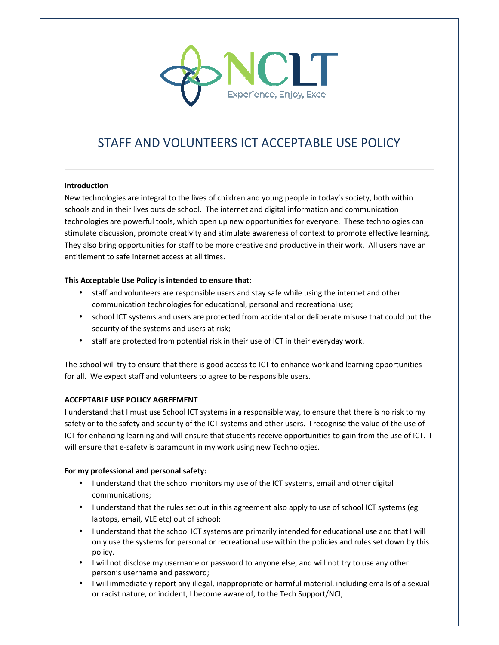

# STAFF AND VOLUNTEERS ICT ACCEPTABLE USE POLICY

#### **Introduction**

New technologies are integral to the lives of children and young people in today's society, both within schools and in their lives outside school. The internet and digital information and communication technologies are powerful tools, which open up new opportunities for everyone. These technologies can stimulate discussion, promote creativity and stimulate awareness of context to promote effective learning. They also bring opportunities for staff to be more creative and productive in their work. All users have an entitlement to safe internet access at all times.

## **This Acceptable Use Policy is intended to ensure that:**

- staff and volunteers are responsible users and stay safe while using the internet and other communication technologies for educational, personal and recreational use;
- school ICT systems and users are protected from accidental or deliberate misuse that could put the security of the systems and users at risk;
- staff are protected from potential risk in their use of ICT in their everyday work.

The school will try to ensure that there is good access to ICT to enhance work and learning opportunities for all. We expect staff and volunteers to agree to be responsible users.

## **ACCEPTABLE USE POLICY AGREEMENT**

I understand that I must use School ICT systems in a responsible way, to ensure that there is no risk to my safety or to the safety and security of the ICT systems and other users. I recognise the value of the use of ICT for enhancing learning and will ensure that students receive opportunities to gain from the use of ICT. I will ensure that e-safety is paramount in my work using new Technologies.

#### **For my professional and personal safety:**

- I understand that the school monitors my use of the ICT systems, email and other digital communications;
- I understand that the rules set out in this agreement also apply to use of school ICT systems (eg laptops, email, VLE etc) out of school;
- I understand that the school ICT systems are primarily intended for educational use and that I will only use the systems for personal or recreational use within the policies and rules set down by this policy.
- I will not disclose my username or password to anyone else, and will not try to use any other person's username and password;
- I will immediately report any illegal, inappropriate or harmful material, including emails of a sexual or racist nature, or incident, I become aware of, to the Tech Support/NCI;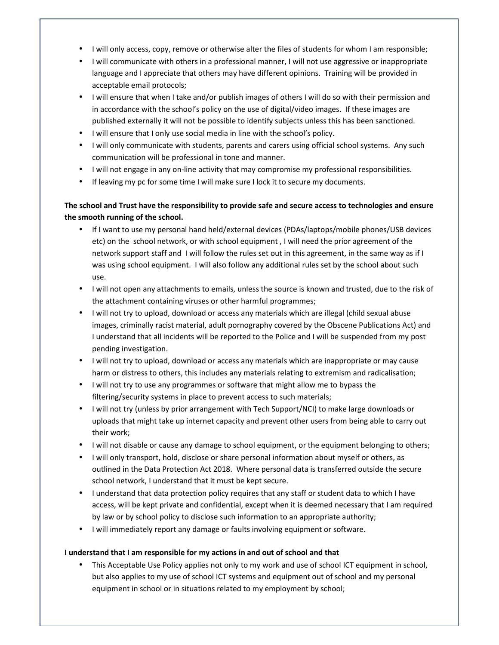- I will only access, copy, remove or otherwise alter the files of students for whom I am responsible;
- I will communicate with others in a professional manner, I will not use aggressive or inappropriate language and I appreciate that others may have different opinions. Training will be provided in acceptable email protocols;
- I will ensure that when I take and/or publish images of others I will do so with their permission and in accordance with the school's policy on the use of digital/video images. If these images are published externally it will not be possible to identify subjects unless this has been sanctioned.
- I will ensure that I only use social media in line with the school's policy.
- I will only communicate with students, parents and carers using official school systems. Any such communication will be professional in tone and manner.
- I will not engage in any on-line activity that may compromise my professional responsibilities.
- If leaving my pc for some time I will make sure I lock it to secure my documents.

# **The school and Trust have the responsibility to provide safe and secure access to technologies and ensure the smooth running of the school.**

- If I want to use my personal hand held/external devices (PDAs/laptops/mobile phones/USB devices etc) on the school network, or with school equipment , I will need the prior agreement of the network support staff and I will follow the rules set out in this agreement, in the same way as if I was using school equipment. I will also follow any additional rules set by the school about such use.
- I will not open any attachments to emails, unless the source is known and trusted, due to the risk of the attachment containing viruses or other harmful programmes;
- I will not try to upload, download or access any materials which are illegal (child sexual abuse images, criminally racist material, adult pornography covered by the Obscene Publications Act) and I understand that all incidents will be reported to the Police and I will be suspended from my post pending investigation.
- I will not try to upload, download or access any materials which are inappropriate or may cause harm or distress to others, this includes any materials relating to extremism and radicalisation;
- I will not try to use any programmes or software that might allow me to bypass the filtering/security systems in place to prevent access to such materials;
- I will not try (unless by prior arrangement with Tech Support/NCI) to make large downloads or uploads that might take up internet capacity and prevent other users from being able to carry out their work;
- I will not disable or cause any damage to school equipment, or the equipment belonging to others;
- I will only transport, hold, disclose or share personal information about myself or others, as outlined in the Data Protection Act 2018. Where personal data is transferred outside the secure school network, I understand that it must be kept secure.
- I understand that data protection policy requires that any staff or student data to which I have access, will be kept private and confidential, except when it is deemed necessary that I am required by law or by school policy to disclose such information to an appropriate authority;
- I will immediately report any damage or faults involving equipment or software.

## **I understand that I am responsible for my actions in and out of school and that**

• This Acceptable Use Policy applies not only to my work and use of school ICT equipment in school, but also applies to my use of school ICT systems and equipment out of school and my personal equipment in school or in situations related to my employment by school;